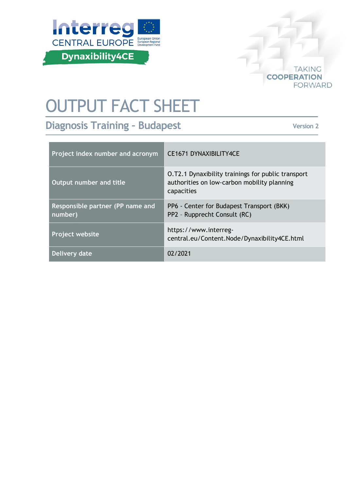



# OUTPUT FACT SHEET

**Diagnosis Training – Budapest**

**Version 2**

| Project index number and acronym            | <b>CE1671 DYNAXIBILITY4CE</b>                                                                                   |
|---------------------------------------------|-----------------------------------------------------------------------------------------------------------------|
| Output number and title                     | O.T2.1 Dynaxibility trainings for public transport<br>authorities on low-carbon mobility planning<br>capacities |
| Responsible partner (PP name and<br>number) | PP6 - Center for Budapest Transport (BKK)<br>PP2 - Rupprecht Consult (RC)                                       |
| Project website                             | https://www.interreg-<br>central.eu/Content.Node/Dynaxibility4CE.html                                           |
| Delivery date                               | 02/2021                                                                                                         |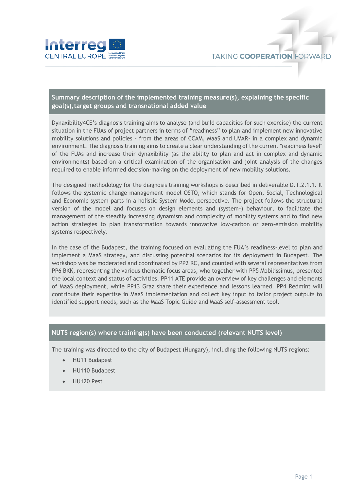

## **Summary description of the implemented training measure(s), explaining the specific goal(s),target groups and transnational added value**

Dynaxibility4CE's diagnosis training aims to analyse (and build capacities for such exercise) the current situation in the FUAs of project partners in terms of "readiness" to plan and implement new innovative mobility solutions and policies - from the areas of CCAM, MaaS and UVAR- in a complex and dynamic environment. The diagnosis training aims to create a clear understanding of the current "readiness level" of the FUAs and increase their dynaxibility (as the ability to plan and act in complex and dynamic environments) based on a critical examination of the organisation and joint analysis of the changes required to enable informed decision-making on the deployment of new mobility solutions.

The designed methodology for the diagnosis training workshops is described in deliverable D.T.2.1.1. It follows the systemic change management model OSTO, which stands for Open, Social, Technological and Economic system parts in a holistic System Model perspective. The project follows the structural version of the model and focuses on design elements and (system-) behaviour, to facilitate the management of the steadily increasing dynamism and complexity of mobility systems and to find new action strategies to plan transformation towards innovative low-carbon or zero-emission mobility systems respectively.

In the case of the Budapest, the training focused on evaluating the FUA's readiness-level to plan and implement a MaaS strategy, and discussing potential scenarios for its deployment in Budapest. The workshop was be moderated and coordinated by PP2 RC, and counted with several representatives from PP6 BKK, representing the various thematic focus areas, who together with PP5 Mobilissimus, presented the local context and status of activities. PP11 ATE provide an overview of key challenges and elements of MaaS deployment, while PP13 Graz share their experience and lessons learned. PP4 Redmint will contribute their expertise in MaaS implementation and collect key input to tailor project outputs to identified support needs, such as the MaaS Topic Guide and MaaS self-assessment tool.

### **NUTS region(s) where training(s) have been conducted (relevant NUTS level)**

The training was directed to the city of Budapest (Hungary), including the following NUTS regions:

- HU11 Budapest
- HU110 Budapest
- HU120 Pest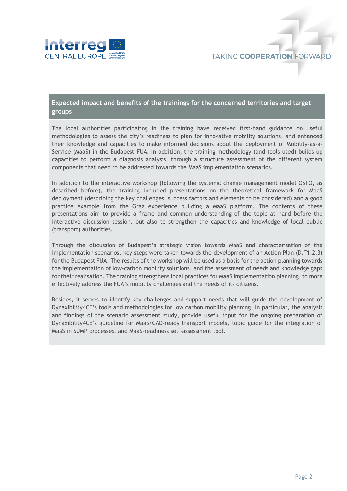

### **Expected impact and benefits of the trainings for the concerned territories and target groups**

The local authorities participating in the training have received first-hand guidance on useful methodologies to assess the city's readiness to plan for innovative mobility solutions, and enhanced their knowledge and capacities to make informed decisions about the deployment of Mobility-as-a-Service (MaaS) in the Budapest FUA. In addition, the training methodology (and tools used) builds up capacities to perform a diagnosis analysis, through a structure assessment of the different system components that need to be addressed towards the MaaS implementation scenarios.

In addition to the interactive workshop (following the systemic change management model OSTO, as described before), the training included presentations on the theoretical framework for MaaS deployment (describing the key challenges, success factors and elements to be considered) and a good practice example from the Graz experience building a MaaS platform. The contents of these presentations aim to provide a frame and common understanding of the topic at hand before the interactive discussion session, but also to strengthen the capacities and knowledge of local public (transport) authorities.

Through the discussion of Budapest's strategic vision towards MaaS and characterisation of the implementation scenarios, key steps were taken towards the development of an Action Plan (D.T1.2.3) for the Budapest FUA. The results of the workshop will be used as a basis for the action planning towards the implementation of low-carbon mobility solutions, and the assessment of needs and knowledge gaps for their realisation. The training strengthens local practices for MaaS implementation planning, to more effectively address the FUA's mobility challenges and the needs of its citizens.

Besides, it serves to identify key challenges and support needs that will guide the development of Dynaxibility4CE's tools and methodologies for low carbon mobility planning. In particular, the analysis and findings of the scenario assessment study, provide useful input for the ongoing preparation of Dynaxibility4CE's guideline for MaaS/CAD-ready transport models, topic guide for the integration of MaaS in SUMP processes, and MaaS-readiness self-assessment tool.